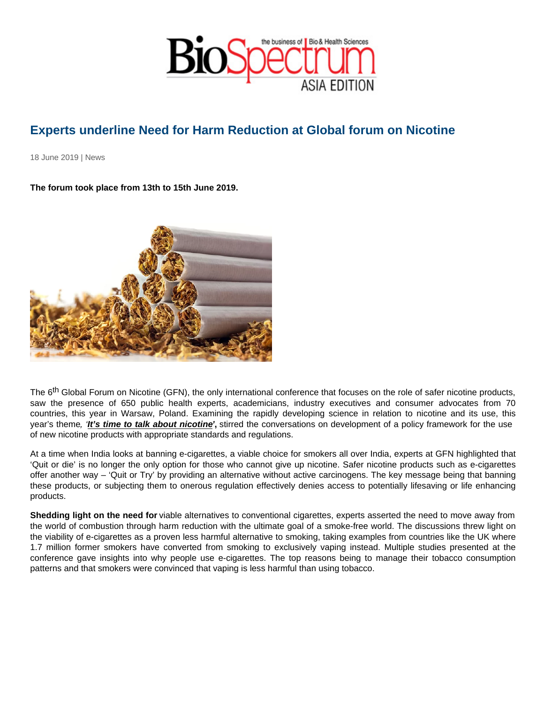## Experts underline Need for Harm Reduction at Global forum on Nicotine

18 June 2019 | News

The forum took place from 13th to 15th June 2019.

The 6<sup>th</sup> Global Forum on Nicotine (GFN), the only international conference that focuses on the role of safer nicotine products, saw the presence of 650 public health experts, academicians, industry executives and consumer advocates from 70 countries, this year in Warsaw, Poland. Examining the rapidly developing science in relation to nicotine and its use, this year's theme, 'It's time to talk about nicotine ', stirred the conversations on development of a policy framework for the use of new nicotine products with appropriate standards and regulations.

At a time when India looks at banning e-cigarettes, a viable choice for smokers all over India, experts at GFN highlighted that 'Quit or die' is no longer the only option for those who cannot give up nicotine. Safer nicotine products such as e-cigarettes offer another way – 'Quit or Try' by providing an alternative without active carcinogens. The key message being that banning these products, or subjecting them to onerous regulation effectively denies access to potentially lifesaving or life enhancing products.

Shedding light on the need for viable alternatives to conventional cigarettes, experts asserted the need to move away from the world of combustion through harm reduction with the ultimate goal of a smoke-free world. The discussions threw light on the viability of e-cigarettes as a proven less harmful alternative to smoking, taking examples from countries like the UK where 1.7 million former smokers have converted from smoking to exclusively vaping instead. Multiple studies presented at the conference gave insights into why people use e-cigarettes. The top reasons being to manage their tobacco consumption patterns and that smokers were convinced that vaping is less harmful than using tobacco.